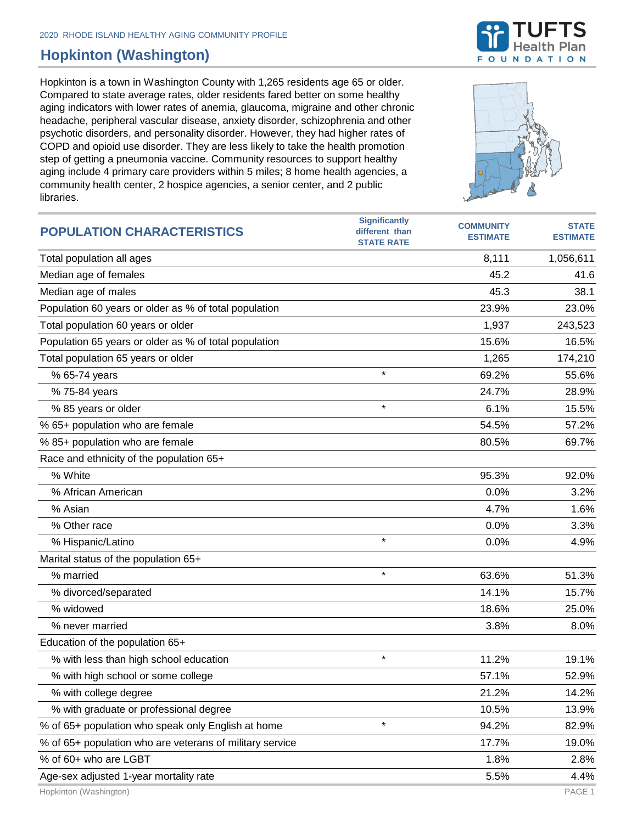## **Hopkinton (Washington)**

Hopkinton is a town in Washington County with 1,265 residents age 65 or older. Compared to state average rates, older residents fared better on some healthy aging indicators with lower rates of anemia, glaucoma, migraine and other chronic headache, peripheral vascular disease, anxiety disorder, schizophrenia and other psychotic disorders, and personality disorder. However, they had higher rates of COPD and opioid use disorder. They are less likely to take the health promotion step of getting a pneumonia vaccine. Community resources to support healthy aging include 4 primary care providers within 5 miles; 8 home health agencies, a community health center, 2 hospice agencies, a senior center, and 2 public libraries.

| <b>POPULATION CHARACTERISTICS</b>                        | <b>Significantly</b><br>different than<br><b>STATE RATE</b> | <b>COMMUNITY</b><br><b>ESTIMATE</b> | <b>STATE</b><br><b>ESTIMATE</b> |
|----------------------------------------------------------|-------------------------------------------------------------|-------------------------------------|---------------------------------|
| Total population all ages                                |                                                             | 8,111                               | 1,056,611                       |
| Median age of females                                    |                                                             | 45.2                                | 41.6                            |
| Median age of males                                      |                                                             | 45.3                                | 38.1                            |
| Population 60 years or older as % of total population    |                                                             | 23.9%                               | 23.0%                           |
| Total population 60 years or older                       |                                                             | 1,937                               | 243,523                         |
| Population 65 years or older as % of total population    |                                                             | 15.6%                               | 16.5%                           |
| Total population 65 years or older                       |                                                             | 1,265                               | 174,210                         |
| % 65-74 years                                            | $\star$                                                     | 69.2%                               | 55.6%                           |
| % 75-84 years                                            |                                                             | 24.7%                               | 28.9%                           |
| % 85 years or older                                      | $\star$                                                     | 6.1%                                | 15.5%                           |
| % 65+ population who are female                          |                                                             | 54.5%                               | 57.2%                           |
| % 85+ population who are female                          |                                                             | 80.5%                               | 69.7%                           |
| Race and ethnicity of the population 65+                 |                                                             |                                     |                                 |
| % White                                                  |                                                             | 95.3%                               | 92.0%                           |
| % African American                                       |                                                             | 0.0%                                | 3.2%                            |
| % Asian                                                  |                                                             | 4.7%                                | 1.6%                            |
| % Other race                                             |                                                             | 0.0%                                | 3.3%                            |
| % Hispanic/Latino                                        | $\star$                                                     | 0.0%                                | 4.9%                            |
| Marital status of the population 65+                     |                                                             |                                     |                                 |
| % married                                                | $\star$                                                     | 63.6%                               | 51.3%                           |
| % divorced/separated                                     |                                                             | 14.1%                               | 15.7%                           |
| % widowed                                                |                                                             | 18.6%                               | 25.0%                           |
| % never married                                          |                                                             | 3.8%                                | 8.0%                            |
| Education of the population 65+                          |                                                             |                                     |                                 |
| % with less than high school education                   | $\star$                                                     | 11.2%                               | 19.1%                           |
| % with high school or some college                       |                                                             | 57.1%                               | 52.9%                           |
| % with college degree                                    |                                                             | 21.2%                               | 14.2%                           |
| % with graduate or professional degree                   |                                                             | 10.5%                               | 13.9%                           |
| % of 65+ population who speak only English at home       | $\star$                                                     | 94.2%                               | 82.9%                           |
| % of 65+ population who are veterans of military service |                                                             | 17.7%                               | 19.0%                           |
| % of 60+ who are LGBT                                    |                                                             | 1.8%                                | 2.8%                            |
| Age-sex adjusted 1-year mortality rate                   |                                                             | 5.5%                                | 4.4%                            |



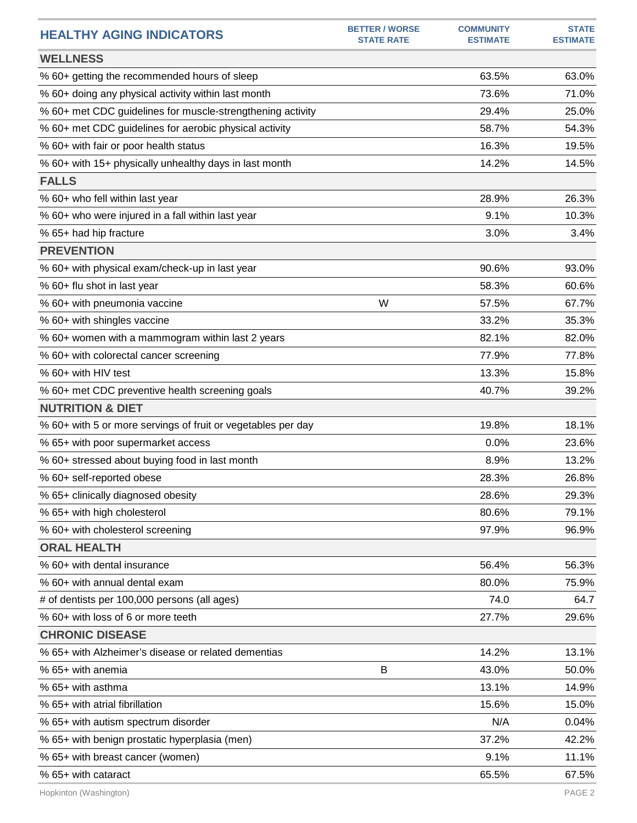| <b>HEALTHY AGING INDICATORS</b>                              | <b>BETTER / WORSE</b><br><b>STATE RATE</b> | <b>COMMUNITY</b><br><b>ESTIMATE</b> | <b>STATE</b><br><b>ESTIMATE</b> |
|--------------------------------------------------------------|--------------------------------------------|-------------------------------------|---------------------------------|
| <b>WELLNESS</b>                                              |                                            |                                     |                                 |
| % 60+ getting the recommended hours of sleep                 |                                            | 63.5%                               | 63.0%                           |
| % 60+ doing any physical activity within last month          |                                            | 73.6%                               | 71.0%                           |
| % 60+ met CDC guidelines for muscle-strengthening activity   |                                            | 29.4%                               | 25.0%                           |
| % 60+ met CDC guidelines for aerobic physical activity       |                                            | 58.7%                               | 54.3%                           |
| % 60+ with fair or poor health status                        |                                            | 16.3%                               | 19.5%                           |
| % 60+ with 15+ physically unhealthy days in last month       |                                            | 14.2%                               | 14.5%                           |
| <b>FALLS</b>                                                 |                                            |                                     |                                 |
| % 60+ who fell within last year                              |                                            | 28.9%                               | 26.3%                           |
| % 60+ who were injured in a fall within last year            |                                            | 9.1%                                | 10.3%                           |
| % 65+ had hip fracture                                       |                                            | 3.0%                                | 3.4%                            |
| <b>PREVENTION</b>                                            |                                            |                                     |                                 |
| % 60+ with physical exam/check-up in last year               |                                            | 90.6%                               | 93.0%                           |
| % 60+ flu shot in last year                                  |                                            | 58.3%                               | 60.6%                           |
| % 60+ with pneumonia vaccine                                 | W                                          | 57.5%                               | 67.7%                           |
| % 60+ with shingles vaccine                                  |                                            | 33.2%                               | 35.3%                           |
| % 60+ women with a mammogram within last 2 years             |                                            | 82.1%                               | 82.0%                           |
| % 60+ with colorectal cancer screening                       |                                            | 77.9%                               | 77.8%                           |
| % 60+ with HIV test                                          |                                            | 13.3%                               | 15.8%                           |
| % 60+ met CDC preventive health screening goals              |                                            | 40.7%                               | 39.2%                           |
| <b>NUTRITION &amp; DIET</b>                                  |                                            |                                     |                                 |
| % 60+ with 5 or more servings of fruit or vegetables per day |                                            | 19.8%                               | 18.1%                           |
| % 65+ with poor supermarket access                           |                                            | 0.0%                                | 23.6%                           |
| % 60+ stressed about buying food in last month               |                                            | 8.9%                                | 13.2%                           |
| % 60+ self-reported obese                                    |                                            | 28.3%                               | 26.8%                           |
| % 65+ clinically diagnosed obesity                           |                                            | 28.6%                               | 29.3%                           |
| % 65+ with high cholesterol                                  |                                            | 80.6%                               | 79.1%                           |
| % 60+ with cholesterol screening                             |                                            | 97.9%                               | 96.9%                           |
| <b>ORAL HEALTH</b>                                           |                                            |                                     |                                 |
| % 60+ with dental insurance                                  |                                            | 56.4%                               | 56.3%                           |
| % 60+ with annual dental exam                                |                                            | 80.0%                               | 75.9%                           |
| # of dentists per 100,000 persons (all ages)                 |                                            | 74.0                                | 64.7                            |
| % 60+ with loss of 6 or more teeth                           |                                            | 27.7%                               | 29.6%                           |
| <b>CHRONIC DISEASE</b>                                       |                                            |                                     |                                 |
| % 65+ with Alzheimer's disease or related dementias          |                                            | 14.2%                               | 13.1%                           |
| % 65+ with anemia                                            | B                                          | 43.0%                               | 50.0%                           |
| % 65+ with asthma                                            |                                            | 13.1%                               | 14.9%                           |
| % 65+ with atrial fibrillation                               |                                            | 15.6%                               | 15.0%                           |
| % 65+ with autism spectrum disorder                          |                                            | N/A                                 | 0.04%                           |
| % 65+ with benign prostatic hyperplasia (men)                |                                            | 37.2%                               | 42.2%                           |
| % 65+ with breast cancer (women)                             |                                            | 9.1%                                | 11.1%                           |
| % 65+ with cataract                                          |                                            | 65.5%                               | 67.5%                           |
|                                                              |                                            |                                     |                                 |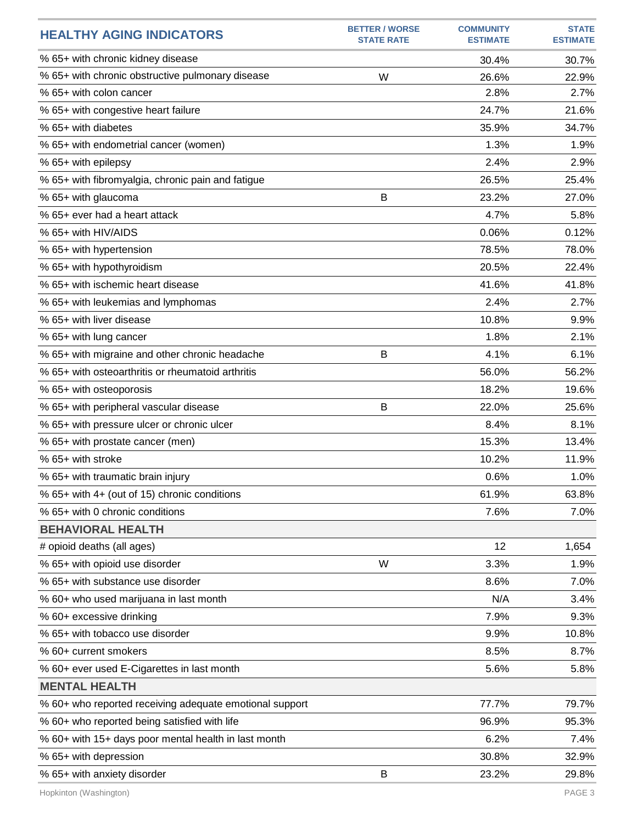| <b>HEALTHY AGING INDICATORS</b>                         | <b>BETTER / WORSE</b><br><b>STATE RATE</b> | <b>COMMUNITY</b><br><b>ESTIMATE</b> | <b>STATE</b><br><b>ESTIMATE</b> |
|---------------------------------------------------------|--------------------------------------------|-------------------------------------|---------------------------------|
| % 65+ with chronic kidney disease                       |                                            | 30.4%                               | 30.7%                           |
| % 65+ with chronic obstructive pulmonary disease        | W                                          | 26.6%                               | 22.9%                           |
| % 65+ with colon cancer                                 |                                            | 2.8%                                | 2.7%                            |
| % 65+ with congestive heart failure                     |                                            | 24.7%                               | 21.6%                           |
| % 65+ with diabetes                                     |                                            | 35.9%                               | 34.7%                           |
| % 65+ with endometrial cancer (women)                   |                                            | 1.3%                                | 1.9%                            |
| % 65+ with epilepsy                                     |                                            | 2.4%                                | 2.9%                            |
| % 65+ with fibromyalgia, chronic pain and fatigue       |                                            | 26.5%                               | 25.4%                           |
| % 65+ with glaucoma                                     | B                                          | 23.2%                               | 27.0%                           |
| % 65+ ever had a heart attack                           |                                            | 4.7%                                | 5.8%                            |
| % 65+ with HIV/AIDS                                     |                                            | 0.06%                               | 0.12%                           |
| % 65+ with hypertension                                 |                                            | 78.5%                               | 78.0%                           |
| % 65+ with hypothyroidism                               |                                            | 20.5%                               | 22.4%                           |
| % 65+ with ischemic heart disease                       |                                            | 41.6%                               | 41.8%                           |
| % 65+ with leukemias and lymphomas                      |                                            | 2.4%                                | 2.7%                            |
| % 65+ with liver disease                                |                                            | 10.8%                               | 9.9%                            |
| % 65+ with lung cancer                                  |                                            | 1.8%                                | 2.1%                            |
| % 65+ with migraine and other chronic headache          | B                                          | 4.1%                                | 6.1%                            |
| % 65+ with osteoarthritis or rheumatoid arthritis       |                                            | 56.0%                               | 56.2%                           |
| % 65+ with osteoporosis                                 |                                            | 18.2%                               | 19.6%                           |
| % 65+ with peripheral vascular disease                  | B                                          | 22.0%                               | 25.6%                           |
| % 65+ with pressure ulcer or chronic ulcer              |                                            | 8.4%                                | 8.1%                            |
| % 65+ with prostate cancer (men)                        |                                            | 15.3%                               | 13.4%                           |
| % 65+ with stroke                                       |                                            | 10.2%                               | 11.9%                           |
| % 65+ with traumatic brain injury                       |                                            | 0.6%                                | 1.0%                            |
| % 65+ with 4+ (out of 15) chronic conditions            |                                            | 61.9%                               | 63.8%                           |
| % 65+ with 0 chronic conditions                         |                                            | 7.6%                                | 7.0%                            |
| <b>BEHAVIORAL HEALTH</b>                                |                                            |                                     |                                 |
| # opioid deaths (all ages)                              |                                            | 12                                  | 1,654                           |
| % 65+ with opioid use disorder                          | W                                          | 3.3%                                | 1.9%                            |
| % 65+ with substance use disorder                       |                                            | 8.6%                                | 7.0%                            |
| % 60+ who used marijuana in last month                  |                                            | N/A                                 | 3.4%                            |
| % 60+ excessive drinking                                |                                            | 7.9%                                | 9.3%                            |
| % 65+ with tobacco use disorder                         |                                            | 9.9%                                | 10.8%                           |
| % 60+ current smokers                                   |                                            | 8.5%                                | 8.7%                            |
| % 60+ ever used E-Cigarettes in last month              |                                            | 5.6%                                | 5.8%                            |
| <b>MENTAL HEALTH</b>                                    |                                            |                                     |                                 |
| % 60+ who reported receiving adequate emotional support |                                            | 77.7%                               | 79.7%                           |
| % 60+ who reported being satisfied with life            |                                            | 96.9%                               | 95.3%                           |
| % 60+ with 15+ days poor mental health in last month    |                                            | 6.2%                                | 7.4%                            |
| % 65+ with depression                                   |                                            | 30.8%                               | 32.9%                           |
| % 65+ with anxiety disorder                             | B                                          | 23.2%                               | 29.8%                           |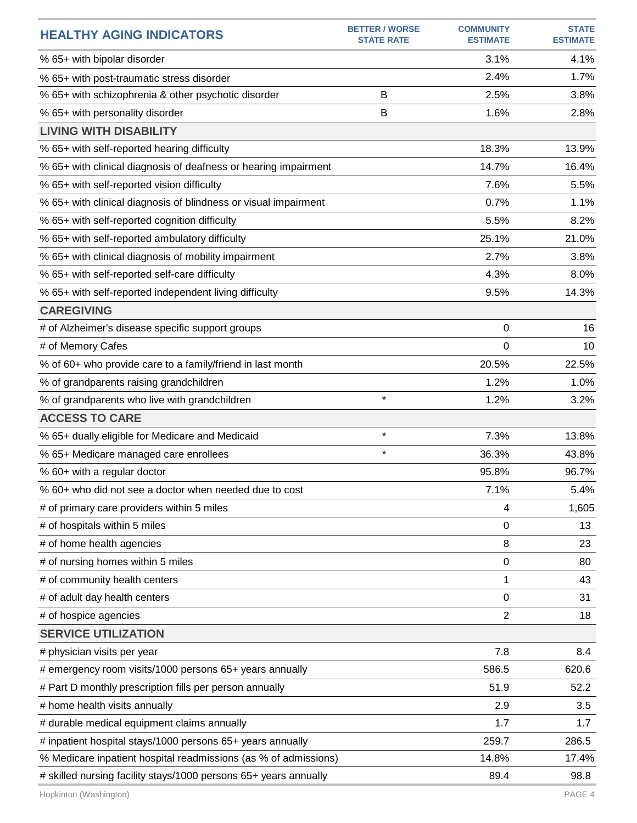| <b>HEALTHY AGING INDICATORS</b>                                  | <b>BETTER / WORSE</b><br><b>STATE RATE</b> | <b>COMMUNITY</b><br><b>ESTIMATE</b> | <b>STATE</b><br><b>ESTIMATE</b> |
|------------------------------------------------------------------|--------------------------------------------|-------------------------------------|---------------------------------|
| % 65+ with bipolar disorder                                      |                                            | 3.1%                                | 4.1%                            |
| % 65+ with post-traumatic stress disorder                        |                                            | 2.4%                                | 1.7%                            |
| % 65+ with schizophrenia & other psychotic disorder              | B                                          | 2.5%                                | 3.8%                            |
| % 65+ with personality disorder                                  | B                                          | 1.6%                                | 2.8%                            |
| <b>LIVING WITH DISABILITY</b>                                    |                                            |                                     |                                 |
| % 65+ with self-reported hearing difficulty                      |                                            | 18.3%                               | 13.9%                           |
| % 65+ with clinical diagnosis of deafness or hearing impairment  |                                            | 14.7%                               | 16.4%                           |
| % 65+ with self-reported vision difficulty                       |                                            | 7.6%                                | 5.5%                            |
| % 65+ with clinical diagnosis of blindness or visual impairment  |                                            | 0.7%                                | 1.1%                            |
| % 65+ with self-reported cognition difficulty                    |                                            | 5.5%                                | 8.2%                            |
| % 65+ with self-reported ambulatory difficulty                   |                                            | 25.1%                               | 21.0%                           |
| % 65+ with clinical diagnosis of mobility impairment             |                                            | 2.7%                                | 3.8%                            |
| % 65+ with self-reported self-care difficulty                    |                                            | 4.3%                                | 8.0%                            |
| % 65+ with self-reported independent living difficulty           |                                            | 9.5%                                | 14.3%                           |
| <b>CAREGIVING</b>                                                |                                            |                                     |                                 |
| # of Alzheimer's disease specific support groups                 |                                            | 0                                   | 16                              |
| # of Memory Cafes                                                |                                            | 0                                   | 10                              |
| % of 60+ who provide care to a family/friend in last month       |                                            | 20.5%                               | 22.5%                           |
| % of grandparents raising grandchildren                          |                                            | 1.2%                                | 1.0%                            |
| % of grandparents who live with grandchildren                    | $\star$                                    | 1.2%                                | 3.2%                            |
| <b>ACCESS TO CARE</b>                                            |                                            |                                     |                                 |
| % 65+ dually eligible for Medicare and Medicaid                  | $\star$                                    | 7.3%                                | 13.8%                           |
| % 65+ Medicare managed care enrollees                            | $\star$                                    | 36.3%                               | 43.8%                           |
| % 60+ with a regular doctor                                      |                                            | 95.8%                               | 96.7%                           |
| % 60+ who did not see a doctor when needed due to cost           |                                            | 7.1%                                | 5.4%                            |
| # of primary care providers within 5 miles                       |                                            | 4                                   | 1,605                           |
| # of hospitals within 5 miles                                    |                                            | 0                                   | 13                              |
| # of home health agencies                                        |                                            | 8                                   | 23                              |
| # of nursing homes within 5 miles                                |                                            | 0                                   | 80                              |
| # of community health centers                                    |                                            | 1                                   | 43                              |
| # of adult day health centers                                    |                                            | 0                                   | 31                              |
| # of hospice agencies                                            |                                            | $\overline{2}$                      | 18                              |
| <b>SERVICE UTILIZATION</b>                                       |                                            |                                     |                                 |
| # physician visits per year                                      |                                            | 7.8                                 | 8.4                             |
| # emergency room visits/1000 persons 65+ years annually          |                                            | 586.5                               | 620.6                           |
| # Part D monthly prescription fills per person annually          |                                            | 51.9                                | 52.2                            |
| # home health visits annually                                    |                                            | 2.9                                 | 3.5                             |
| # durable medical equipment claims annually                      |                                            | 1.7                                 | 1.7                             |
| # inpatient hospital stays/1000 persons 65+ years annually       |                                            | 259.7                               | 286.5                           |
| % Medicare inpatient hospital readmissions (as % of admissions)  |                                            | 14.8%                               | 17.4%                           |
| # skilled nursing facility stays/1000 persons 65+ years annually |                                            | 89.4                                | 98.8                            |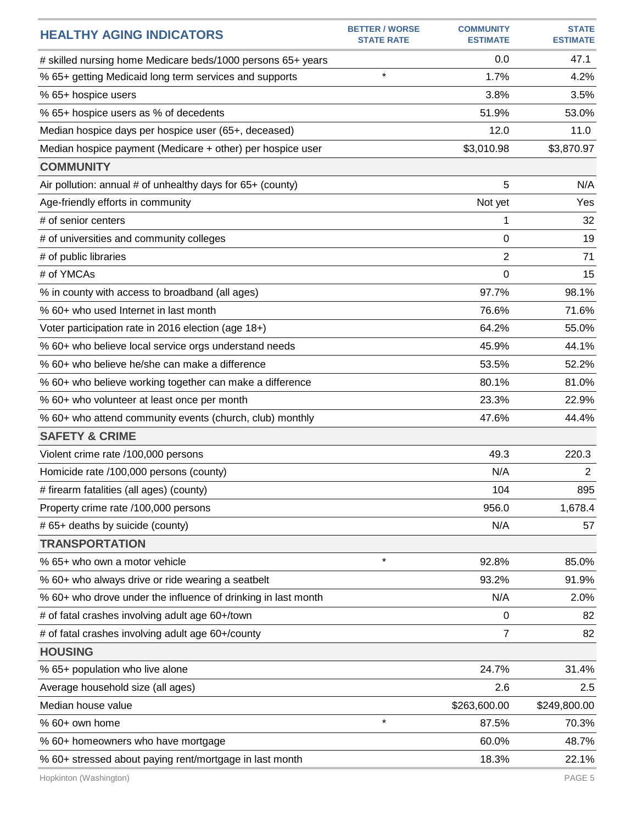| <b>HEALTHY AGING INDICATORS</b>                               | <b>BETTER / WORSE</b><br><b>STATE RATE</b> | <b>COMMUNITY</b><br><b>ESTIMATE</b> | <b>STATE</b><br><b>ESTIMATE</b> |
|---------------------------------------------------------------|--------------------------------------------|-------------------------------------|---------------------------------|
| # skilled nursing home Medicare beds/1000 persons 65+ years   |                                            | 0.0                                 | 47.1                            |
| % 65+ getting Medicaid long term services and supports        | $\star$                                    | 1.7%                                | 4.2%                            |
| % 65+ hospice users                                           |                                            | 3.8%                                | 3.5%                            |
| % 65+ hospice users as % of decedents                         |                                            | 51.9%                               | 53.0%                           |
| Median hospice days per hospice user (65+, deceased)          |                                            | 12.0                                | 11.0                            |
| Median hospice payment (Medicare + other) per hospice user    |                                            | \$3,010.98                          | \$3,870.97                      |
| <b>COMMUNITY</b>                                              |                                            |                                     |                                 |
| Air pollution: annual # of unhealthy days for 65+ (county)    |                                            | 5                                   | N/A                             |
| Age-friendly efforts in community                             |                                            | Not yet                             | Yes                             |
| # of senior centers                                           |                                            | 1                                   | 32                              |
| # of universities and community colleges                      |                                            | 0                                   | 19                              |
| # of public libraries                                         |                                            | 2                                   | 71                              |
| # of YMCAs                                                    |                                            | $\Omega$                            | 15                              |
| % in county with access to broadband (all ages)               |                                            | 97.7%                               | 98.1%                           |
| % 60+ who used Internet in last month                         |                                            | 76.6%                               | 71.6%                           |
| Voter participation rate in 2016 election (age 18+)           |                                            | 64.2%                               | 55.0%                           |
| % 60+ who believe local service orgs understand needs         |                                            | 45.9%                               | 44.1%                           |
| % 60+ who believe he/she can make a difference                |                                            | 53.5%                               | 52.2%                           |
| % 60+ who believe working together can make a difference      |                                            | 80.1%                               | 81.0%                           |
| % 60+ who volunteer at least once per month                   |                                            | 23.3%                               | 22.9%                           |
| % 60+ who attend community events (church, club) monthly      |                                            | 47.6%                               | 44.4%                           |
| <b>SAFETY &amp; CRIME</b>                                     |                                            |                                     |                                 |
| Violent crime rate /100,000 persons                           |                                            | 49.3                                | 220.3                           |
| Homicide rate /100,000 persons (county)                       |                                            | N/A                                 | $\overline{2}$                  |
| # firearm fatalities (all ages) (county)                      |                                            | 104                                 | 895                             |
| Property crime rate /100,000 persons                          |                                            | 956.0                               | 1,678.4                         |
| # 65+ deaths by suicide (county)                              |                                            | N/A                                 | 57                              |
| <b>TRANSPORTATION</b>                                         |                                            |                                     |                                 |
| % 65+ who own a motor vehicle                                 | $\star$                                    | 92.8%                               | 85.0%                           |
| % 60+ who always drive or ride wearing a seatbelt             |                                            | 93.2%                               | 91.9%                           |
| % 60+ who drove under the influence of drinking in last month |                                            | N/A                                 | 2.0%                            |
| # of fatal crashes involving adult age 60+/town               |                                            | 0                                   | 82                              |
| # of fatal crashes involving adult age 60+/county             |                                            | 7                                   | 82                              |
| <b>HOUSING</b>                                                |                                            |                                     |                                 |
| % 65+ population who live alone                               |                                            | 24.7%                               | 31.4%                           |
| Average household size (all ages)                             |                                            | 2.6                                 | 2.5                             |
| Median house value                                            |                                            | \$263,600.00                        | \$249,800.00                    |
| % 60+ own home                                                | $\star$                                    | 87.5%                               | 70.3%                           |
| % 60+ homeowners who have mortgage                            |                                            | 60.0%                               | 48.7%                           |
| % 60+ stressed about paying rent/mortgage in last month       |                                            | 18.3%                               | 22.1%                           |